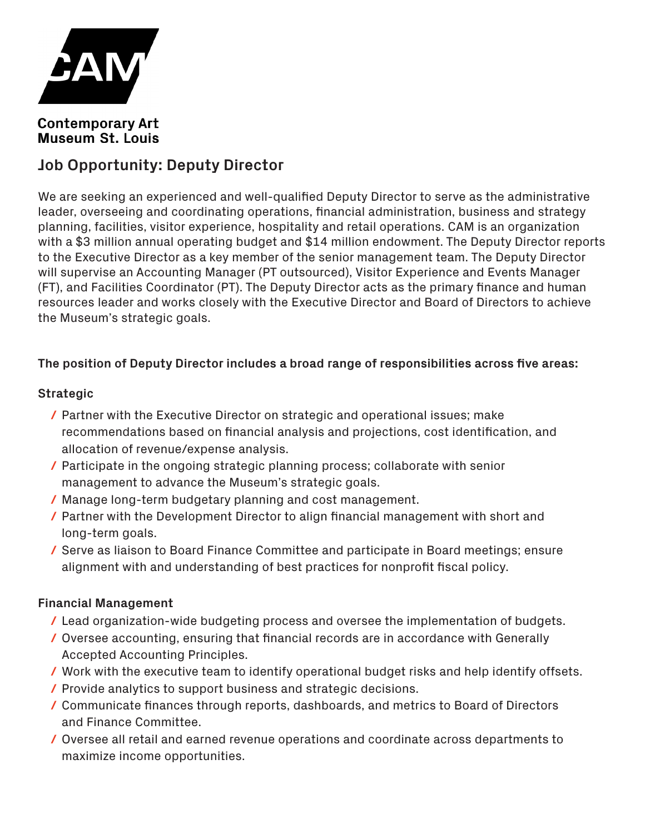

# **Contemporary Art Museum St. Louis**

# **Job Opportunity: Deputy Director**

We are seeking an experienced and well-qualified Deputy Director to serve as the administrative leader, overseeing and coordinating operations, financial administration, business and strategy planning, facilities, visitor experience, hospitality and retail operations. CAM is an organization with a \$3 million annual operating budget and \$14 million endowment. The Deputy Director reports to the Executive Director as a key member of the senior management team. The Deputy Director will supervise an Accounting Manager (PT outsourced), Visitor Experience and Events Manager (FT), and Facilities Coordinator (PT). The Deputy Director acts as the primary finance and human resources leader and works closely with the Executive Director and Board of Directors to achieve the Museum's strategic goals.

#### **The position of Deputy Director includes a broad range of responsibilities across five areas:**

#### **Strategic**

- **/** Partner with the Executive Director on strategic and operational issues; make recommendations based on financial analysis and projections, cost identification, and allocation of revenue/expense analysis.
- **/** Participate in the ongoing strategic planning process; collaborate with senior management to advance the Museum's strategic goals.
- **/** Manage long-term budgetary planning and cost management.
- **/** Partner with the Development Director to align financial management with short and long-term goals.
- **/** Serve as liaison to Board Finance Committee and participate in Board meetings; ensure alignment with and understanding of best practices for nonprofit fiscal policy.

#### **Financial Management**

- Lead organization-wide budgeting process and oversee the implementation of budgets. **/**
- Oversee accounting, ensuring that financial records are in accordance with Generally **/** Accepted Accounting Principles.
- Work with the executive team to identify operational budget risks and help identify offsets. **/**
- Provide analytics to support business and strategic decisions. **/**
- Communicate finances through reports, dashboards, and metrics to Board of Directors **/** and Finance Committee.
- Oversee all retail and earned revenue operations and coordinate across departments to **/**maximize income opportunities.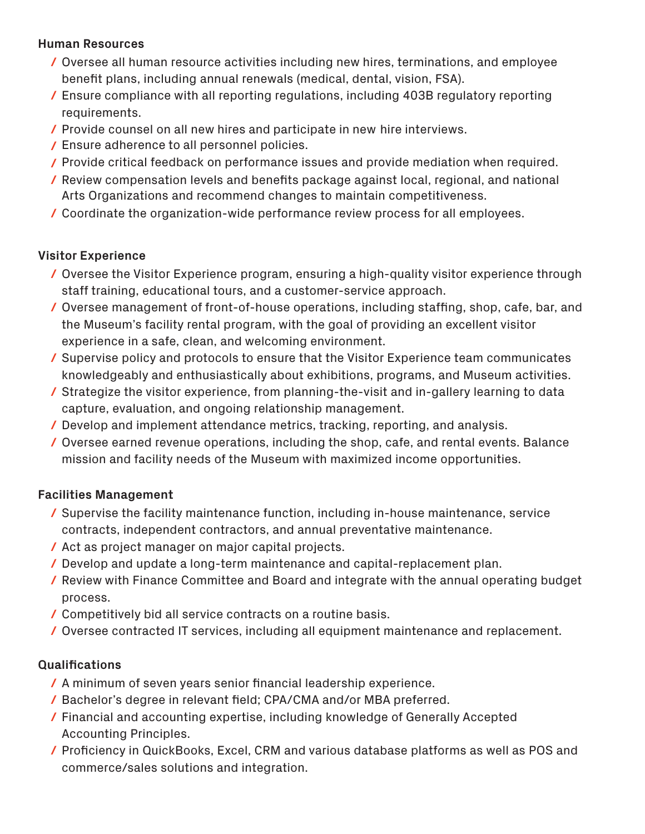#### **Human Resources**

- Oversee all human resource activities including new hires, terminations, and employee **/** benefit plans, including annual renewals (medical, dental, vision, FSA).
- Ensure compliance with all reporting regulations, including 403B regulatory reporting **/** requirements.
- Provide counsel on all new hires and participate in new hire interviews. **/**
- Ensure adherence to all personnel policies. **/**
- Provide critical feedback on performance issues and provide mediation when required. **/**
- Review compensation levels and benefits package against local, regional, and national **/** Arts Organizations and recommend changes to maintain competitiveness.
- Coordinate the organization-wide performance review process for all employees. **/**

# **Visitor Experience**

- Oversee the Visitor Experience program, ensuring a high-quality visitor experience through **/** staff training, educational tours, and a customer-service approach.
- Oversee management of front-of-house operations, including staffing, shop, cafe, bar, and **/** the Museum's facility rental program, with the goal of providing an excellent visitor experience in a safe, clean, and welcoming environment.
- Supervise policy and protocols to ensure that the Visitor Experience team communicates **/** knowledgeably and enthusiastically about exhibitions, programs, and Museum activities.
- Strategize the visitor experience, from planning-the-visit and in-gallery learning to data **/** capture, evaluation, and ongoing relationship management.
- Develop and implement attendance metrics, tracking, reporting, and analysis. **/**
- Oversee earned revenue operations, including the shop, cafe, and rental events. Balance **/** mission and facility needs of the Museum with maximized income opportunities.

# **Facilities Management**

- Supervise the facility maintenance function, including in-house maintenance, service **/** contracts, independent contractors, and annual preventative maintenance.
- Act as project manager on major capital projects. **/**
- Develop and update a long-term maintenance and capital-replacement plan. **/**
- Review with Finance Committee and Board and integrate with the annual operating budget **/** process.
- Competitively bid all service contracts on a routine basis. **/**
- Oversee contracted IT services, including all equipment maintenance and replacement. **/**

# **Qualifications**

- A minimum of seven years senior financial leadership experience. **/**
- Bachelor's degree in relevant field; CPA/CMA and/or MBA preferred. **/**
- Financial and accounting expertise, including knowledge of Generally Accepted **/** Accounting Principles.
- Proficiency in QuickBooks, Excel, CRM and various database platforms as well as POS and **/**commerce/sales solutions and integration.